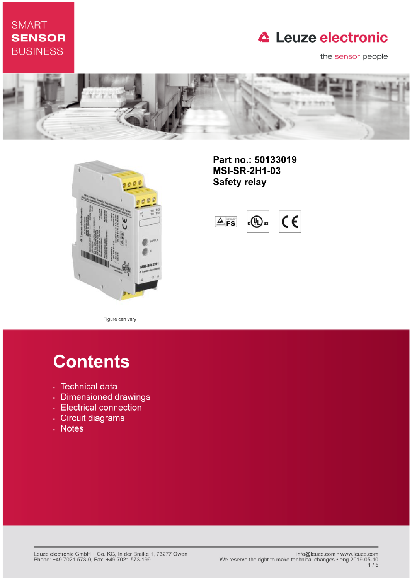# **SMART SENSOR BUSINESS**

# **△ Leuze electronic**

the sensor people





Part no.: 50133019 **MSI-SR-2H1-03 Safety relay** 

 $\epsilon$  $4$  FS  $\circledR$ **Jus** 

Figure can vary

# **Contents**

- · Technical data
- · Dimensioned drawings
- Electrical connection
- · Circuit diagrams
- . Notes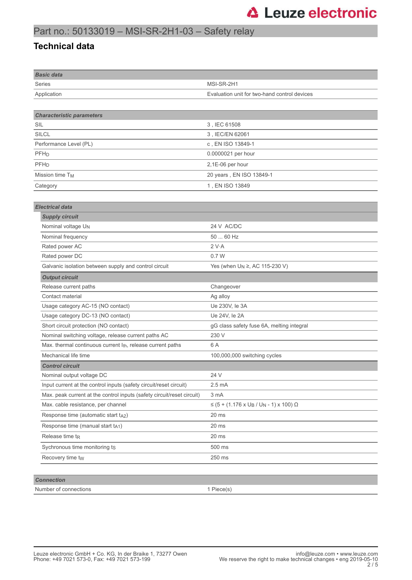## Part no.: 50133019 – MSI-SR-2H1-03 – Safety relay

#### **Technical data**

| <b>Basic data</b>                                                       |                                                                 |
|-------------------------------------------------------------------------|-----------------------------------------------------------------|
| <b>Series</b>                                                           | MSI-SR-2H1                                                      |
| Application                                                             | Evaluation unit for two-hand control devices                    |
|                                                                         |                                                                 |
| <b>Characteristic parameters</b>                                        |                                                                 |
| SIL                                                                     | 3, IEC 61508                                                    |
| <b>SILCL</b>                                                            | 3, IEC/EN 62061                                                 |
| Performance Level (PL)                                                  | c, EN ISO 13849-1                                               |
| PFH <sub>D</sub>                                                        | 0.0000021 per hour                                              |
| PFH <sub>D</sub>                                                        | 2,1E-06 per hour                                                |
| Mission time T <sub>M</sub>                                             | 20 years, EN ISO 13849-1                                        |
| Category                                                                | 1, EN ISO 13849                                                 |
|                                                                         |                                                                 |
| <b>Electrical data</b>                                                  |                                                                 |
| <b>Supply circuit</b>                                                   |                                                                 |
| Nominal voltage U <sub>N</sub>                                          | 24 V AC/DC                                                      |
| Nominal frequency                                                       | 50  60 Hz                                                       |
| Rated power AC                                                          | 2 V·A                                                           |
| Rated power DC                                                          | 0.7W                                                            |
| Galvanic isolation between supply and control circuit                   | Yes (when U <sub>N</sub> ≥, AC 115-230 V)                       |
| <b>Output circuit</b>                                                   |                                                                 |
| Release current paths                                                   | Changeover                                                      |
| Contact material                                                        | Ag alloy                                                        |
| Usage category AC-15 (NO contact)                                       | Ue 230V, le 3A                                                  |
| Usage category DC-13 (NO contact)                                       | Ue 24V, le 2A                                                   |
| Short circuit protection (NO contact)                                   | gG class safety fuse 6A, melting integral                       |
| Nominal switching voltage, release current paths AC                     | 230 V                                                           |
| Max. thermal continuous current I <sub>th</sub> , release current paths | 6 A                                                             |
| Mechanical life time                                                    | 100,000,000 switching cycles                                    |
| <b>Control circuit</b>                                                  |                                                                 |
| Nominal output voltage DC                                               | 24 V                                                            |
| Input current at the control inputs (safety circuit/reset circuit)      | $2.5 \text{ mA}$                                                |
| Max. peak current at the control inputs (safety circuit/reset circuit)  | 3 mA                                                            |
| Max. cable resistance, per channel                                      | $≤$ (5 + (1.176 x U <sub>B</sub> / U <sub>N</sub> - 1) x 100) Ω |
| Response time (automatic start $t_{A2}$ )                               | 20 ms                                                           |
| Response time (manual start tA1)                                        | 20 ms                                                           |
| Release time $t_{R}$                                                    | 20 ms                                                           |
| Sychronous time monitoring ts                                           | 500 ms                                                          |
| Recovery time tw                                                        | 250 ms                                                          |
|                                                                         |                                                                 |
| <b>Connection</b>                                                       |                                                                 |

| Number of connections | Piece(s) |
|-----------------------|----------|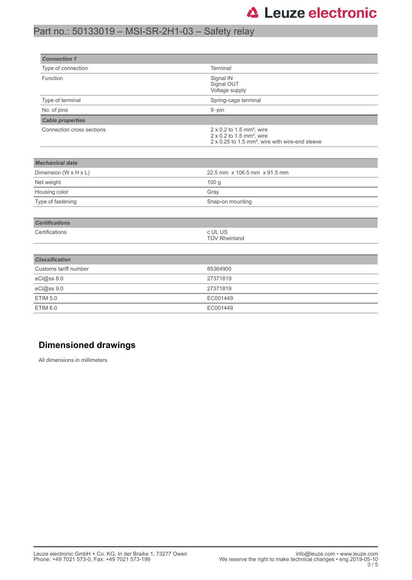### Part no.: 50133019 – MSI-SR-2H1-03 – Safety relay

| <b>Connection 1</b>       |                                                                                                                                                             |
|---------------------------|-------------------------------------------------------------------------------------------------------------------------------------------------------------|
| Type of connection        | Terminal                                                                                                                                                    |
| Function                  | Signal IN<br>Signal OUT<br>Voltage supply                                                                                                                   |
| Type of terminal          | Spring-cage terminal                                                                                                                                        |
| No. of pins               | 9-pin                                                                                                                                                       |
| <b>Cable properties</b>   |                                                                                                                                                             |
| Connection cross sections | $2 \times 0.2$ to 1.5 mm <sup>2</sup> , wire<br>$2 \times 0.2$ to 1.5 mm <sup>2</sup> , wire<br>2 x 0.25 to 1.5 mm <sup>2</sup> , wire with wire-end sleeve |
| <b>Mechanical data</b>    |                                                                                                                                                             |
| Dimension (W x H x L)     | 22.5 mm x 106.5 mm x 91.5 mm                                                                                                                                |
| Net weight                | 100 g                                                                                                                                                       |
| Housing color             | Gray                                                                                                                                                        |
| Type of fastening         | Snap-on mounting                                                                                                                                            |
| <b>Certifications</b>     |                                                                                                                                                             |
| Certifications            | c UL US<br><b>TÜV Rheinland</b>                                                                                                                             |
| <b>Classification</b>     |                                                                                                                                                             |
| Customs tariff number     | 85364900                                                                                                                                                    |
| eCl@ss 8.0                | 27371819                                                                                                                                                    |
| eCl@ss 9.0                | 27371819                                                                                                                                                    |
| <b>ETIM 5.0</b>           | EC001449                                                                                                                                                    |
| <b>ETIM 6.0</b>           | EC001449                                                                                                                                                    |
|                           |                                                                                                                                                             |

### **Dimensioned drawings**

All dimensions in millimeters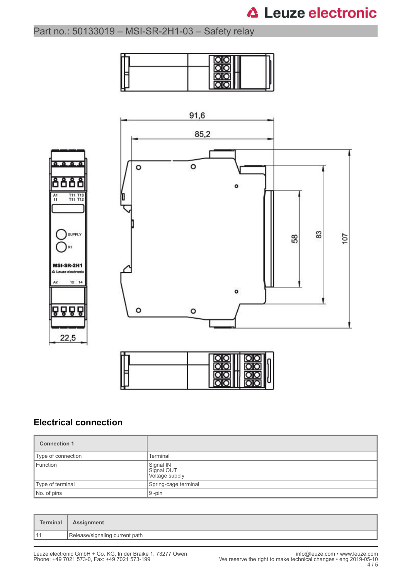# **△ Leuze electronic**

## Part no.: 50133019 – MSI-SR-2H1-03 – Safety relay







### **Electrical connection**

| <b>Connection 1</b> |                                           |
|---------------------|-------------------------------------------|
| Type of connection  | Terminal                                  |
| Function            | Signal IN<br>Signal OUT<br>Voltage supply |
| Type of terminal    | Spring-cage terminal                      |
| No. of pins         | $9 - pin$                                 |

| <b>Terminal</b> | <b>Assignment</b>              |
|-----------------|--------------------------------|
| $-11$           | Release/signaling current path |
|                 |                                |